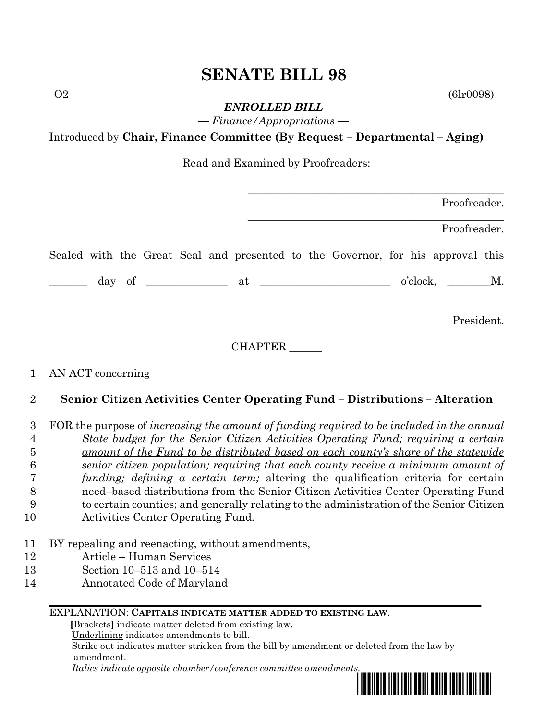# **SENATE BILL 98**

 $O2$  (6lr0098)

*ENROLLED BILL — Finance/Appropriations —*

Introduced by **Chair, Finance Committee (By Request – Departmental – Aging)**

Read and Examined by Proofreaders:

|  |  |  |  |                                                                                 |             |  | Proofreader. |  |
|--|--|--|--|---------------------------------------------------------------------------------|-------------|--|--------------|--|
|  |  |  |  |                                                                                 |             |  | Proofreader. |  |
|  |  |  |  | Sealed with the Great Seal and presented to the Governor, for his approval this |             |  |              |  |
|  |  |  |  |                                                                                 | o'clock, M. |  |              |  |
|  |  |  |  |                                                                                 |             |  | President.   |  |

CHAPTER \_\_\_\_\_\_

#### 1 AN ACT concerning

#### 2 **Senior Citizen Activities Center Operating Fund – Distributions – Alteration**

 FOR the purpose of *increasing the amount of funding required to be included in the annual State budget for the Senior Citizen Activities Operating Fund; requiring a certain amount of the Fund to be distributed based on each county's share of the statewide senior citizen population; requiring that each county receive a minimum amount of funding; defining a certain term;* altering the qualification criteria for certain need–based distributions from the Senior Citizen Activities Center Operating Fund to certain counties; and generally relating to the administration of the Senior Citizen

- 10 Activities Center Operating Fund.
- 11 BY repealing and reenacting, without amendments,
- 12 Article Human Services
- 13 Section 10–513 and 10–514
- 14 Annotated Code of Maryland

#### EXPLANATION: **CAPITALS INDICATE MATTER ADDED TO EXISTING LAW**.

 **[**Brackets**]** indicate matter deleted from existing law.

Underlining indicates amendments to bill.

 Strike out indicates matter stricken from the bill by amendment or deleted from the law by amendment.

 *Italics indicate opposite chamber/conference committee amendments.*

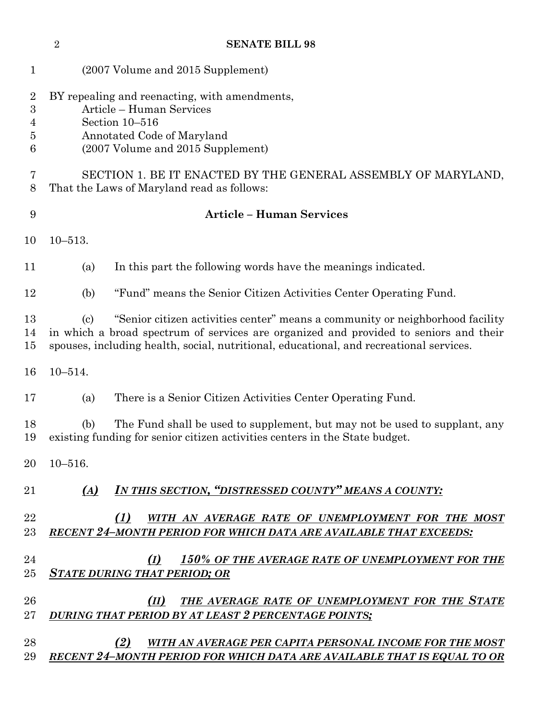| $\mathbf{1}$                                      | (2007 Volume and 2015 Supplement)                                                                                                                                                                                                                                                               |  |  |  |  |  |  |  |  |
|---------------------------------------------------|-------------------------------------------------------------------------------------------------------------------------------------------------------------------------------------------------------------------------------------------------------------------------------------------------|--|--|--|--|--|--|--|--|
| $\overline{2}$<br>$\boldsymbol{3}$<br>4<br>5<br>6 | BY repealing and reenacting, with amendments,<br>Article - Human Services<br>Section 10-516<br>Annotated Code of Maryland<br>(2007 Volume and 2015 Supplement)                                                                                                                                  |  |  |  |  |  |  |  |  |
| 7<br>8                                            | SECTION 1. BE IT ENACTED BY THE GENERAL ASSEMBLY OF MARYLAND,<br>That the Laws of Maryland read as follows:                                                                                                                                                                                     |  |  |  |  |  |  |  |  |
| 9                                                 | <b>Article - Human Services</b>                                                                                                                                                                                                                                                                 |  |  |  |  |  |  |  |  |
| 10                                                | $10 - 513.$                                                                                                                                                                                                                                                                                     |  |  |  |  |  |  |  |  |
| 11                                                | In this part the following words have the meanings indicated.<br>(a)                                                                                                                                                                                                                            |  |  |  |  |  |  |  |  |
| 12                                                | "Fund" means the Senior Citizen Activities Center Operating Fund.<br>(b)                                                                                                                                                                                                                        |  |  |  |  |  |  |  |  |
| 13<br>14<br>15                                    | "Senior citizen activities center" means a community or neighborhood facility<br>$\left( \mathrm{c}\right)$<br>in which a broad spectrum of services are organized and provided to seniors and their<br>spouses, including health, social, nutritional, educational, and recreational services. |  |  |  |  |  |  |  |  |
| 16                                                | $10 - 514.$                                                                                                                                                                                                                                                                                     |  |  |  |  |  |  |  |  |
| 17                                                | There is a Senior Citizen Activities Center Operating Fund.<br>(a)                                                                                                                                                                                                                              |  |  |  |  |  |  |  |  |
| 18<br>19                                          | (b)<br>The Fund shall be used to supplement, but may not be used to supplant, any<br>existing funding for senior citizen activities centers in the State budget.                                                                                                                                |  |  |  |  |  |  |  |  |
|                                                   | $20\quad 10 - 516.$                                                                                                                                                                                                                                                                             |  |  |  |  |  |  |  |  |
| 21                                                | IN THIS SECTION, "DISTRESSED COUNTY" MEANS A COUNTY:<br>(A)                                                                                                                                                                                                                                     |  |  |  |  |  |  |  |  |
| 22<br>23                                          | (1)<br>WITH AN AVERAGE RATE OF UNEMPLOYMENT FOR THE MOST<br><b>RECENT 24-MONTH PERIOD FOR WHICH DATA ARE AVAILABLE THAT EXCEEDS:</b>                                                                                                                                                            |  |  |  |  |  |  |  |  |
| 24<br>25                                          | 150% OF THE AVERAGE RATE OF UNEMPLOYMENT FOR THE<br>(I)<br><b>STATE DURING THAT PERIOD; OR</b>                                                                                                                                                                                                  |  |  |  |  |  |  |  |  |
| 26<br>$27\,$                                      | THE AVERAGE RATE OF UNEMPLOYMENT FOR THE STATE<br>(II)<br><b>DURING THAT PERIOD BY AT LEAST 2 PERCENTAGE POINTS;</b>                                                                                                                                                                            |  |  |  |  |  |  |  |  |
| 28<br>29                                          | (2)<br>WITH AN AVERAGE PER CAPITA PERSONAL INCOME FOR THE MOST<br>RECENT 24-MONTH PERIOD FOR WHICH DATA ARE AVAILABLE THAT IS EQUAL TO OR                                                                                                                                                       |  |  |  |  |  |  |  |  |

**SENATE BILL 98**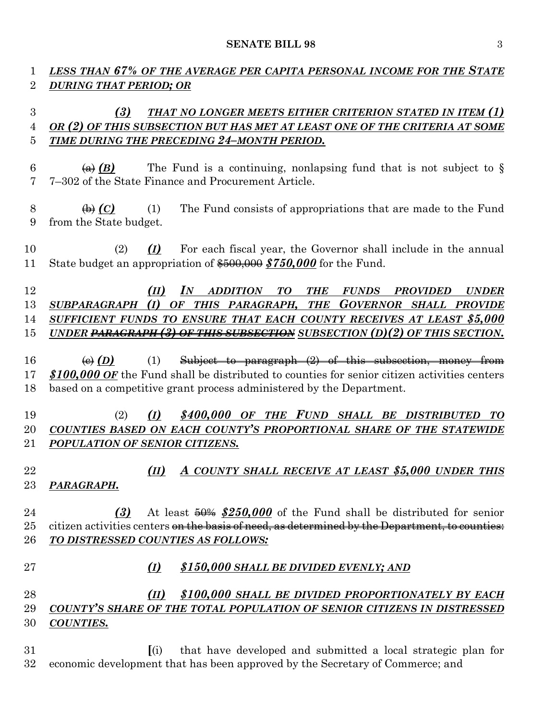#### **SENATE BILL 98** 3

## *LESS THAN 67% OF THE AVERAGE PER CAPITA PERSONAL INCOME FOR THE STATE DURING THAT PERIOD; OR*

### *(3) THAT NO LONGER MEETS EITHER CRITERION STATED IN ITEM (1) OR (2) OF THIS SUBSECTION BUT HAS MET AT LEAST ONE OF THE CRITERIA AT SOME TIME DURING THE PRECEDING 24–MONTH PERIOD.*

- 6  $\left(\frac{a}{b}\right)$  The Fund is a continuing, nonlapsing fund that is not subject to § 7–302 of the State Finance and Procurement Article.
- 8  $\leftrightarrow$  *(C)* (1) The Fund consists of appropriations that are made to the Fund from the State budget.
- (2) *(I)* For each fiscal year, the Governor shall include in the annual State budget an appropriation of \$500,000 *\$750,000* for the Fund.

 *(II) IN ADDITION TO THE FUNDS PROVIDED UNDER SUBPARAGRAPH (I) OF THIS PARAGRAPH, THE GOVERNOR SHALL PROVIDE SUFFICIENT FUNDS TO ENSURE THAT EACH COUNTY RECEIVES AT LEAST \$5,000 UNDER PARAGRAPH (3) OF THIS SUBSECTION SUBSECTION (D)(2) OF THIS SECTION.*

 $\left(\theta\right)$  *(D)* (1) Subject to paragraph (2) of this subsection, money from *\$100,000 OF* the Fund shall be distributed to counties for senior citizen activities centers based on a competitive grant process administered by the Department.

### (2) *(I) \$400,000 OF THE FUND SHALL BE DISTRIBUTED TO COUNTIES BASED ON EACH COUNTY'S PROPORTIONAL SHARE OF THE STATEWIDE POPULATION OF SENIOR CITIZENS.*

 *(II) A COUNTY SHALL RECEIVE AT LEAST \$5,000 UNDER THIS PARAGRAPH.*

 *(3)* At least 50% *\$250,000* of the Fund shall be distributed for senior 25 citizen activities centers on the basis of need, as determined by the Department, to counties: *TO DISTRESSED COUNTIES AS FOLLOWS:*

#### *(I) \$150,000 SHALL BE DIVIDED EVENLY; AND*

#### *(II) \$100,000 SHALL BE DIVIDED PROPORTIONATELY BY EACH COUNTY'S SHARE OF THE TOTAL POPULATION OF SENIOR CITIZENS IN DISTRESSED COUNTIES.*

 **[**(i) that have developed and submitted a local strategic plan for economic development that has been approved by the Secretary of Commerce; and